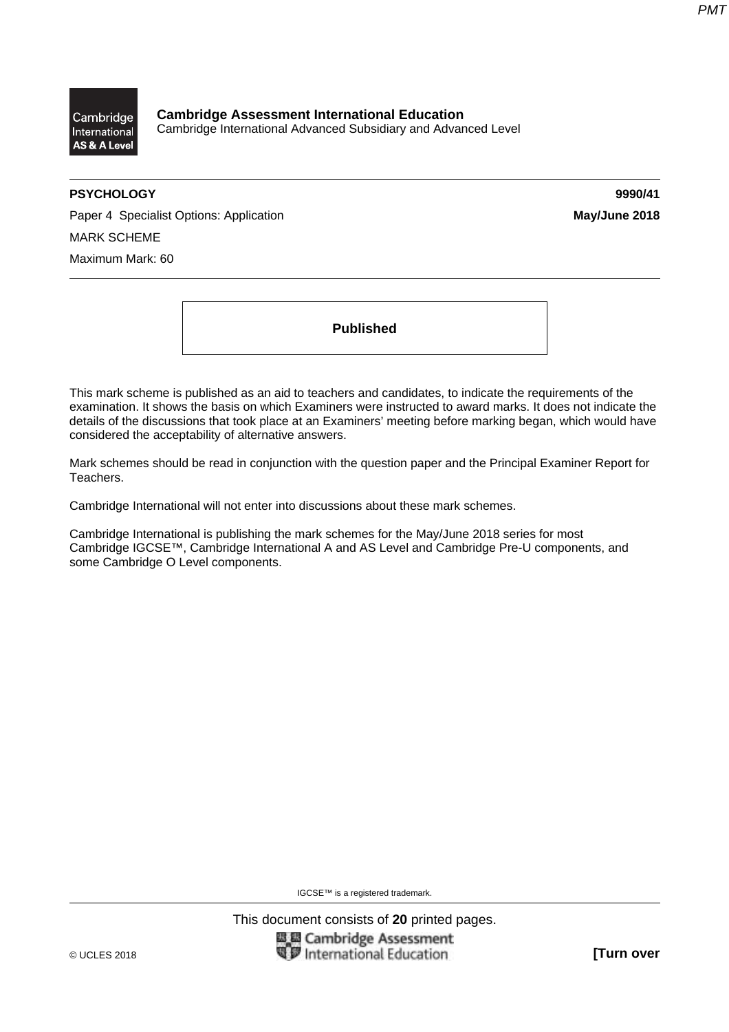

**Cambridge Assessment International Education**  Cambridge International Advanced Subsidiary and Advanced Level

# **PSYCHOLOGY 9990/41**

Paper 4 Specialist Options: Application **May/June 2018 May/June 2018** MARK SCHEME Maximum Mark: 60

**Published** 

This mark scheme is published as an aid to teachers and candidates, to indicate the requirements of the examination. It shows the basis on which Examiners were instructed to award marks. It does not indicate the details of the discussions that took place at an Examiners' meeting before marking began, which would have considered the acceptability of alternative answers.

Mark schemes should be read in conjunction with the question paper and the Principal Examiner Report for Teachers.

Cambridge International will not enter into discussions about these mark schemes.

Cambridge International is publishing the mark schemes for the May/June 2018 series for most Cambridge IGCSE™, Cambridge International A and AS Level and Cambridge Pre-U components, and some Cambridge O Level components.

IGCSE™ is a registered trademark.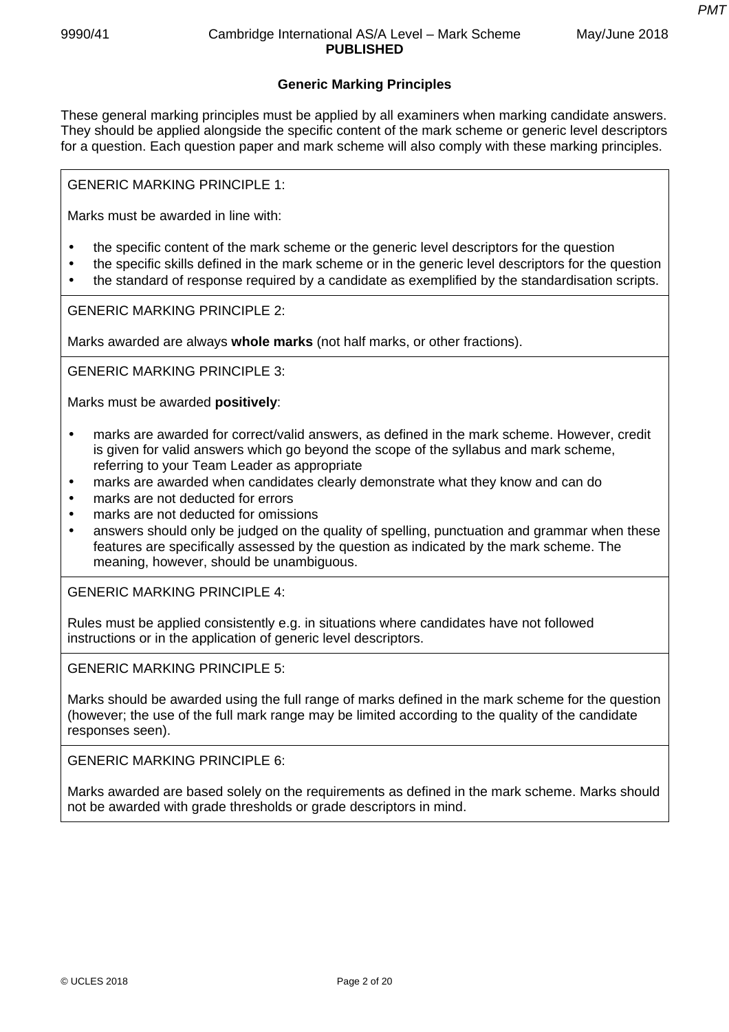# **Generic Marking Principles**

These general marking principles must be applied by all examiners when marking candidate answers. They should be applied alongside the specific content of the mark scheme or generic level descriptors for a question. Each question paper and mark scheme will also comply with these marking principles.

GENERIC MARKING PRINCIPLE 1:

Marks must be awarded in line with:

- the specific content of the mark scheme or the generic level descriptors for the question
- the specific skills defined in the mark scheme or in the generic level descriptors for the question
- the standard of response required by a candidate as exemplified by the standardisation scripts.

GENERIC MARKING PRINCIPLE 2:

Marks awarded are always **whole marks** (not half marks, or other fractions).

GENERIC MARKING PRINCIPLE 3:

Marks must be awarded **positively**:

- marks are awarded for correct/valid answers, as defined in the mark scheme. However, credit is given for valid answers which go beyond the scope of the syllabus and mark scheme, referring to your Team Leader as appropriate
- marks are awarded when candidates clearly demonstrate what they know and can do
- marks are not deducted for errors
- marks are not deducted for omissions
- answers should only be judged on the quality of spelling, punctuation and grammar when these features are specifically assessed by the question as indicated by the mark scheme. The meaning, however, should be unambiguous.

GENERIC MARKING PRINCIPLE 4:

Rules must be applied consistently e.g. in situations where candidates have not followed instructions or in the application of generic level descriptors.

GENERIC MARKING PRINCIPLE 5:

Marks should be awarded using the full range of marks defined in the mark scheme for the question (however; the use of the full mark range may be limited according to the quality of the candidate responses seen).

GENERIC MARKING PRINCIPLE 6:

Marks awarded are based solely on the requirements as defined in the mark scheme. Marks should not be awarded with grade thresholds or grade descriptors in mind.

*PMT*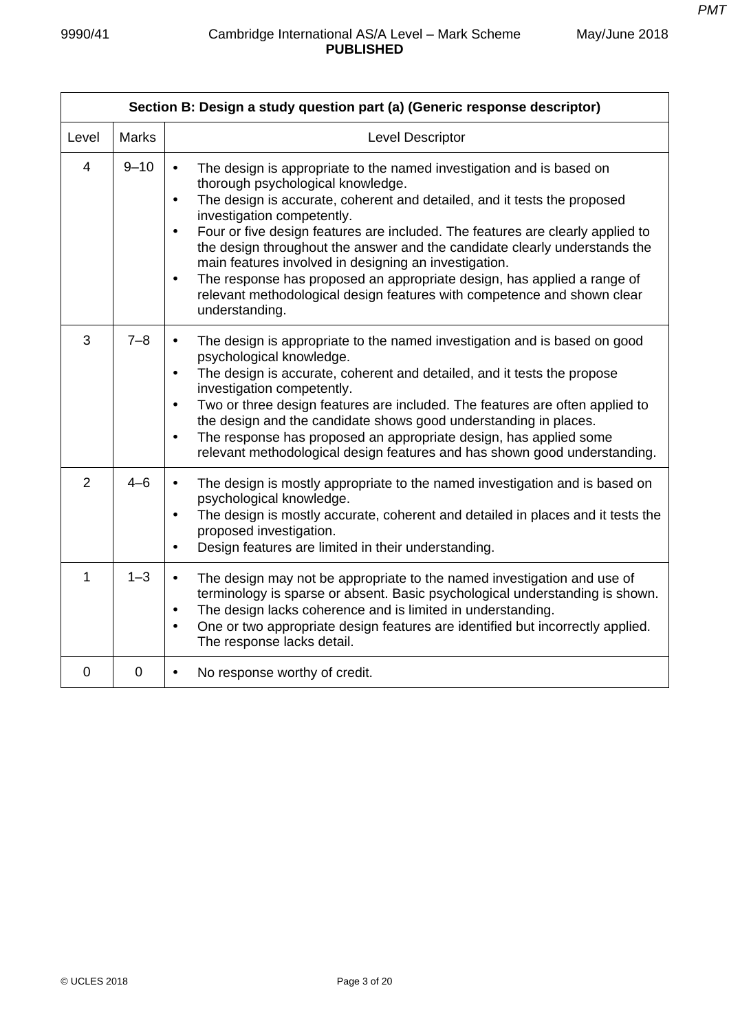| Section B: Design a study question part (a) (Generic response descriptor) |              |                                                                                                                                                                                                                                                                                                                                                                                                                                                                                                                                                                                                                                                                          |  |  |
|---------------------------------------------------------------------------|--------------|--------------------------------------------------------------------------------------------------------------------------------------------------------------------------------------------------------------------------------------------------------------------------------------------------------------------------------------------------------------------------------------------------------------------------------------------------------------------------------------------------------------------------------------------------------------------------------------------------------------------------------------------------------------------------|--|--|
| Level                                                                     | <b>Marks</b> | Level Descriptor                                                                                                                                                                                                                                                                                                                                                                                                                                                                                                                                                                                                                                                         |  |  |
| $\overline{4}$                                                            | $9 - 10$     | The design is appropriate to the named investigation and is based on<br>$\bullet$<br>thorough psychological knowledge.<br>The design is accurate, coherent and detailed, and it tests the proposed<br>$\bullet$<br>investigation competently.<br>Four or five design features are included. The features are clearly applied to<br>$\bullet$<br>the design throughout the answer and the candidate clearly understands the<br>main features involved in designing an investigation.<br>The response has proposed an appropriate design, has applied a range of<br>$\bullet$<br>relevant methodological design features with competence and shown clear<br>understanding. |  |  |
| 3                                                                         | $7 - 8$      | The design is appropriate to the named investigation and is based on good<br>$\bullet$<br>psychological knowledge.<br>The design is accurate, coherent and detailed, and it tests the propose<br>$\bullet$<br>investigation competently.<br>Two or three design features are included. The features are often applied to<br>$\bullet$<br>the design and the candidate shows good understanding in places.<br>The response has proposed an appropriate design, has applied some<br>$\bullet$<br>relevant methodological design features and has shown good understanding.                                                                                                 |  |  |
| $\overline{2}$                                                            | $4 - 6$      | The design is mostly appropriate to the named investigation and is based on<br>$\bullet$<br>psychological knowledge.<br>The design is mostly accurate, coherent and detailed in places and it tests the<br>$\bullet$<br>proposed investigation.<br>Design features are limited in their understanding.<br>$\bullet$                                                                                                                                                                                                                                                                                                                                                      |  |  |
| 1                                                                         | $1 - 3$      | The design may not be appropriate to the named investigation and use of<br>$\bullet$<br>terminology is sparse or absent. Basic psychological understanding is shown.<br>The design lacks coherence and is limited in understanding.<br>$\bullet$<br>One or two appropriate design features are identified but incorrectly applied.<br>$\bullet$<br>The response lacks detail.                                                                                                                                                                                                                                                                                            |  |  |
| $\overline{0}$                                                            | $\mathbf 0$  | No response worthy of credit.<br>$\bullet$                                                                                                                                                                                                                                                                                                                                                                                                                                                                                                                                                                                                                               |  |  |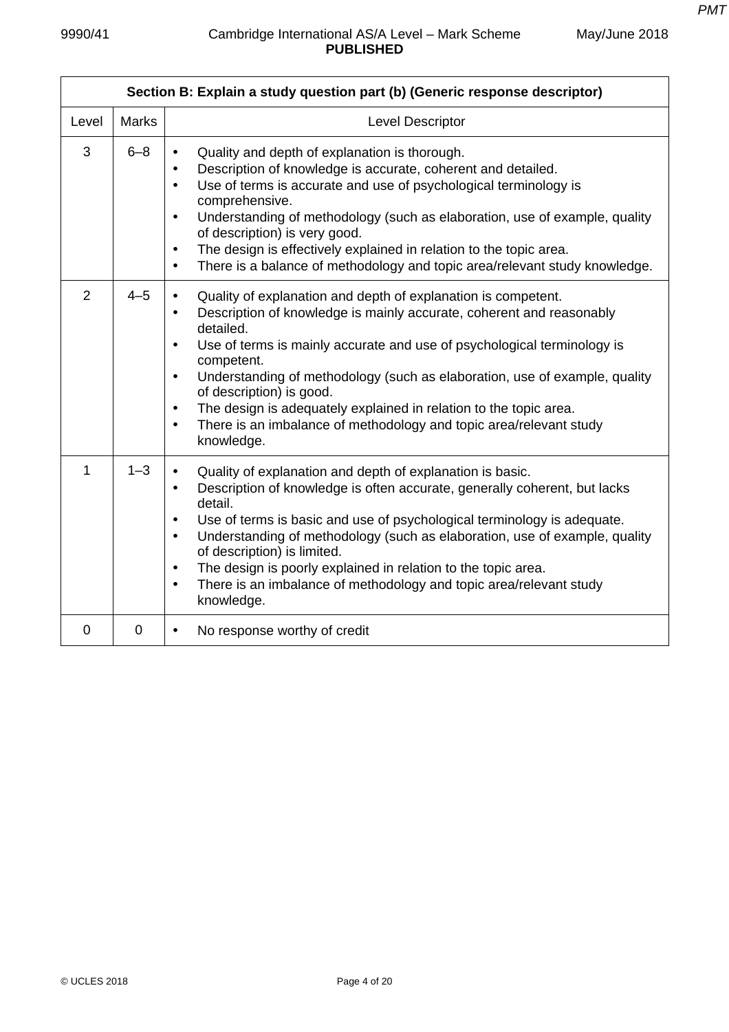| Section B: Explain a study question part (b) (Generic response descriptor) |              |                                                                                                                                                                                                                                                                                                                                                                                                                                                                                                                                                                                              |  |  |
|----------------------------------------------------------------------------|--------------|----------------------------------------------------------------------------------------------------------------------------------------------------------------------------------------------------------------------------------------------------------------------------------------------------------------------------------------------------------------------------------------------------------------------------------------------------------------------------------------------------------------------------------------------------------------------------------------------|--|--|
| Level                                                                      | <b>Marks</b> | Level Descriptor                                                                                                                                                                                                                                                                                                                                                                                                                                                                                                                                                                             |  |  |
| 3                                                                          | $6 - 8$      | Quality and depth of explanation is thorough.<br>$\bullet$<br>Description of knowledge is accurate, coherent and detailed.<br>$\bullet$<br>Use of terms is accurate and use of psychological terminology is<br>$\bullet$<br>comprehensive.<br>Understanding of methodology (such as elaboration, use of example, quality<br>$\bullet$<br>of description) is very good.<br>The design is effectively explained in relation to the topic area.<br>$\bullet$<br>There is a balance of methodology and topic area/relevant study knowledge.<br>$\bullet$                                         |  |  |
| $\overline{2}$                                                             | $4 - 5$      | Quality of explanation and depth of explanation is competent.<br>$\bullet$<br>Description of knowledge is mainly accurate, coherent and reasonably<br>$\bullet$<br>detailed.<br>Use of terms is mainly accurate and use of psychological terminology is<br>$\bullet$<br>competent.<br>Understanding of methodology (such as elaboration, use of example, quality<br>$\bullet$<br>of description) is good.<br>The design is adequately explained in relation to the topic area.<br>$\bullet$<br>There is an imbalance of methodology and topic area/relevant study<br>$\bullet$<br>knowledge. |  |  |
| 1                                                                          | $1 - 3$      | Quality of explanation and depth of explanation is basic.<br>$\bullet$<br>Description of knowledge is often accurate, generally coherent, but lacks<br>$\bullet$<br>detail.<br>Use of terms is basic and use of psychological terminology is adequate.<br>$\bullet$<br>Understanding of methodology (such as elaboration, use of example, quality<br>$\bullet$<br>of description) is limited.<br>The design is poorly explained in relation to the topic area.<br>$\bullet$<br>There is an imbalance of methodology and topic area/relevant study<br>$\bullet$<br>knowledge.                 |  |  |
| $\overline{0}$                                                             | $\mathbf 0$  | No response worthy of credit<br>$\bullet$                                                                                                                                                                                                                                                                                                                                                                                                                                                                                                                                                    |  |  |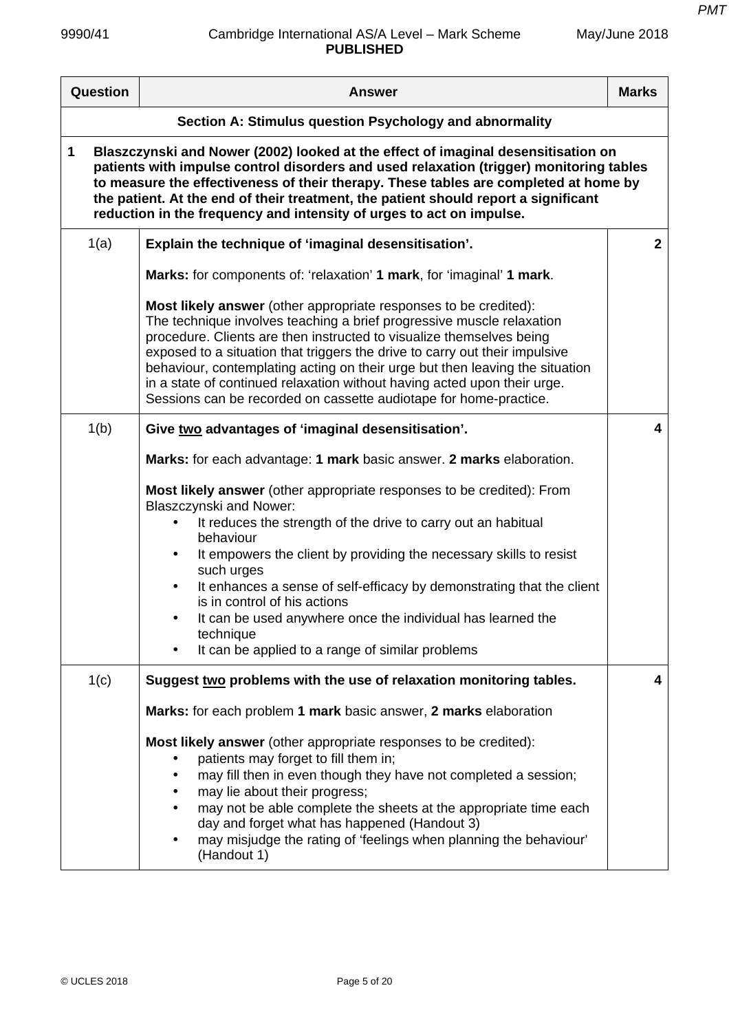| Question                                                                                                                                                                                                                                                                                                                                                                                                                                 | <b>Answer</b>                                                                                                                                                                                                                                                                                                                                                                                                                                                                                                                                                  | <b>Marks</b>   |  |
|------------------------------------------------------------------------------------------------------------------------------------------------------------------------------------------------------------------------------------------------------------------------------------------------------------------------------------------------------------------------------------------------------------------------------------------|----------------------------------------------------------------------------------------------------------------------------------------------------------------------------------------------------------------------------------------------------------------------------------------------------------------------------------------------------------------------------------------------------------------------------------------------------------------------------------------------------------------------------------------------------------------|----------------|--|
| Section A: Stimulus question Psychology and abnormality                                                                                                                                                                                                                                                                                                                                                                                  |                                                                                                                                                                                                                                                                                                                                                                                                                                                                                                                                                                |                |  |
| 1<br>Blaszczynski and Nower (2002) looked at the effect of imaginal desensitisation on<br>patients with impulse control disorders and used relaxation (trigger) monitoring tables<br>to measure the effectiveness of their therapy. These tables are completed at home by<br>the patient. At the end of their treatment, the patient should report a significant<br>reduction in the frequency and intensity of urges to act on impulse. |                                                                                                                                                                                                                                                                                                                                                                                                                                                                                                                                                                |                |  |
| 1(a)                                                                                                                                                                                                                                                                                                                                                                                                                                     | Explain the technique of 'imaginal desensitisation'.                                                                                                                                                                                                                                                                                                                                                                                                                                                                                                           | $\overline{2}$ |  |
|                                                                                                                                                                                                                                                                                                                                                                                                                                          | Marks: for components of: 'relaxation' 1 mark, for 'imaginal' 1 mark.                                                                                                                                                                                                                                                                                                                                                                                                                                                                                          |                |  |
|                                                                                                                                                                                                                                                                                                                                                                                                                                          | Most likely answer (other appropriate responses to be credited):<br>The technique involves teaching a brief progressive muscle relaxation<br>procedure. Clients are then instructed to visualize themselves being<br>exposed to a situation that triggers the drive to carry out their impulsive<br>behaviour, contemplating acting on their urge but then leaving the situation<br>in a state of continued relaxation without having acted upon their urge.<br>Sessions can be recorded on cassette audiotape for home-practice.                              |                |  |
| 1(b)                                                                                                                                                                                                                                                                                                                                                                                                                                     | Give two advantages of 'imaginal desensitisation'.                                                                                                                                                                                                                                                                                                                                                                                                                                                                                                             | 4              |  |
|                                                                                                                                                                                                                                                                                                                                                                                                                                          | Marks: for each advantage: 1 mark basic answer. 2 marks elaboration.                                                                                                                                                                                                                                                                                                                                                                                                                                                                                           |                |  |
|                                                                                                                                                                                                                                                                                                                                                                                                                                          | Most likely answer (other appropriate responses to be credited): From<br><b>Blaszczynski and Nower:</b><br>It reduces the strength of the drive to carry out an habitual<br>behaviour                                                                                                                                                                                                                                                                                                                                                                          |                |  |
|                                                                                                                                                                                                                                                                                                                                                                                                                                          | It empowers the client by providing the necessary skills to resist<br>such urges                                                                                                                                                                                                                                                                                                                                                                                                                                                                               |                |  |
|                                                                                                                                                                                                                                                                                                                                                                                                                                          | It enhances a sense of self-efficacy by demonstrating that the client<br>$\bullet$<br>is in control of his actions                                                                                                                                                                                                                                                                                                                                                                                                                                             |                |  |
|                                                                                                                                                                                                                                                                                                                                                                                                                                          | It can be used anywhere once the individual has learned the<br>technique<br>It can be applied to a range of similar problems                                                                                                                                                                                                                                                                                                                                                                                                                                   |                |  |
|                                                                                                                                                                                                                                                                                                                                                                                                                                          |                                                                                                                                                                                                                                                                                                                                                                                                                                                                                                                                                                | 4              |  |
| 1(c)                                                                                                                                                                                                                                                                                                                                                                                                                                     | Suggest two problems with the use of relaxation monitoring tables.<br>Marks: for each problem 1 mark basic answer, 2 marks elaboration<br>Most likely answer (other appropriate responses to be credited):<br>patients may forget to fill them in;<br>may fill then in even though they have not completed a session;<br>may lie about their progress;<br>may not be able complete the sheets at the appropriate time each<br>day and forget what has happened (Handout 3)<br>may misjudge the rating of 'feelings when planning the behaviour'<br>(Handout 1) |                |  |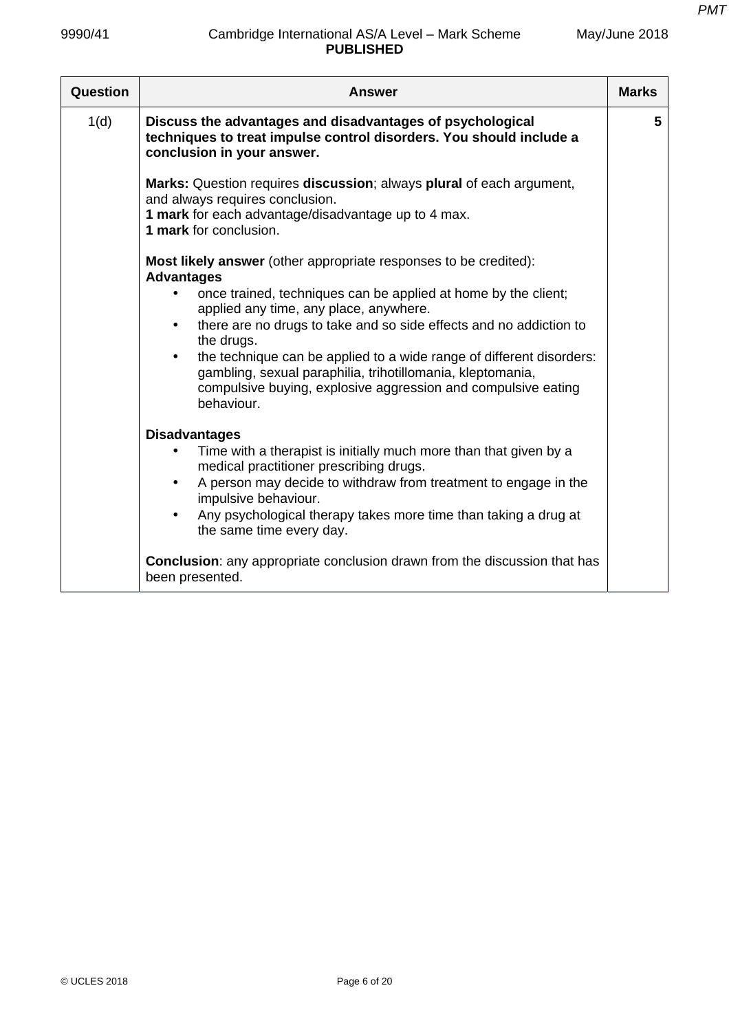| May/June 2018 |  |
|---------------|--|
|---------------|--|

| Question | <b>Answer</b>                                                                                                                                                                                                                                                                                                                                                                                                                                                                                                                        | <b>Marks</b> |
|----------|--------------------------------------------------------------------------------------------------------------------------------------------------------------------------------------------------------------------------------------------------------------------------------------------------------------------------------------------------------------------------------------------------------------------------------------------------------------------------------------------------------------------------------------|--------------|
| 1(d)     | Discuss the advantages and disadvantages of psychological<br>techniques to treat impulse control disorders. You should include a<br>conclusion in your answer.                                                                                                                                                                                                                                                                                                                                                                       | 5            |
|          | Marks: Question requires discussion; always plural of each argument,<br>and always requires conclusion.<br>1 mark for each advantage/disadvantage up to 4 max.<br>1 mark for conclusion.                                                                                                                                                                                                                                                                                                                                             |              |
|          | Most likely answer (other appropriate responses to be credited):<br><b>Advantages</b><br>once trained, techniques can be applied at home by the client;<br>applied any time, any place, anywhere.<br>there are no drugs to take and so side effects and no addiction to<br>$\bullet$<br>the drugs.<br>the technique can be applied to a wide range of different disorders:<br>$\bullet$<br>gambling, sexual paraphilia, trihotillomania, kleptomania,<br>compulsive buying, explosive aggression and compulsive eating<br>behaviour. |              |
|          | <b>Disadvantages</b><br>Time with a therapist is initially much more than that given by a<br>medical practitioner prescribing drugs.<br>A person may decide to withdraw from treatment to engage in the<br>$\bullet$<br>impulsive behaviour.<br>Any psychological therapy takes more time than taking a drug at<br>the same time every day.                                                                                                                                                                                          |              |
|          | <b>Conclusion:</b> any appropriate conclusion drawn from the discussion that has<br>been presented.                                                                                                                                                                                                                                                                                                                                                                                                                                  |              |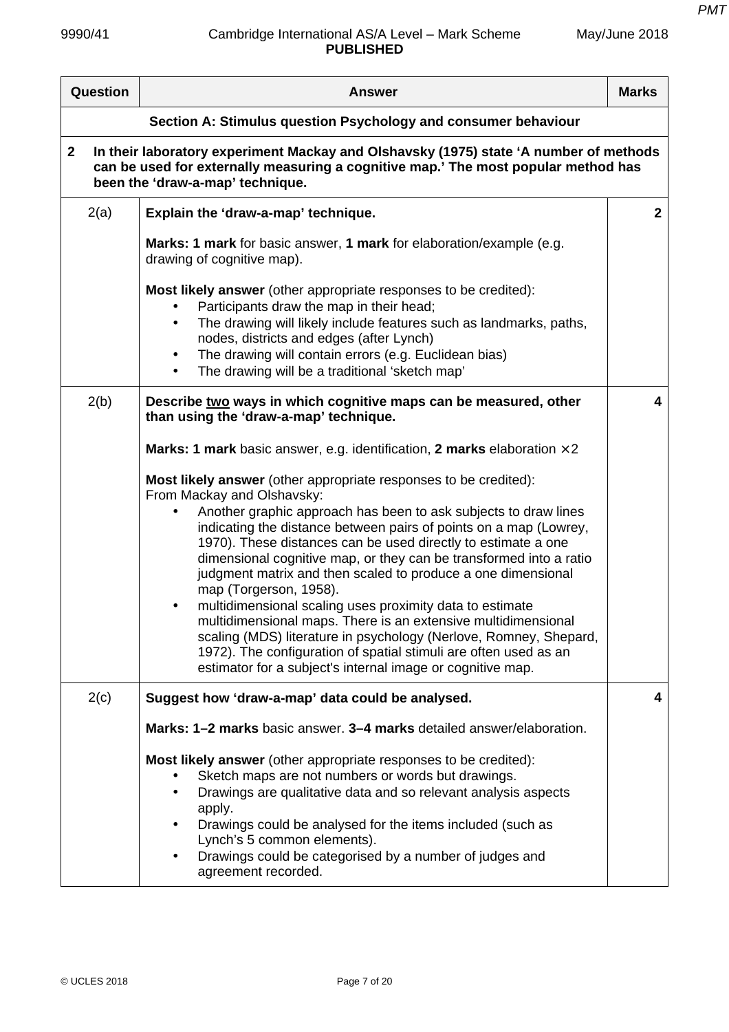$\mathsf{r}$ 

| May/June 2018 |  |  |
|---------------|--|--|
|               |  |  |

| Question                                                                                                                                                                                                                        | <b>Answer</b>                                                                                                                                                                                                                                                                                                                                                                                                                                                                                                                                                                                                                                                                                                                                                                                                            | <b>Marks</b> |  |
|---------------------------------------------------------------------------------------------------------------------------------------------------------------------------------------------------------------------------------|--------------------------------------------------------------------------------------------------------------------------------------------------------------------------------------------------------------------------------------------------------------------------------------------------------------------------------------------------------------------------------------------------------------------------------------------------------------------------------------------------------------------------------------------------------------------------------------------------------------------------------------------------------------------------------------------------------------------------------------------------------------------------------------------------------------------------|--------------|--|
| Section A: Stimulus question Psychology and consumer behaviour                                                                                                                                                                  |                                                                                                                                                                                                                                                                                                                                                                                                                                                                                                                                                                                                                                                                                                                                                                                                                          |              |  |
| In their laboratory experiment Mackay and Olshavsky (1975) state 'A number of methods<br>$\mathbf{2}$<br>can be used for externally measuring a cognitive map.' The most popular method has<br>been the 'draw-a-map' technique. |                                                                                                                                                                                                                                                                                                                                                                                                                                                                                                                                                                                                                                                                                                                                                                                                                          |              |  |
| 2(a)                                                                                                                                                                                                                            | Explain the 'draw-a-map' technique.                                                                                                                                                                                                                                                                                                                                                                                                                                                                                                                                                                                                                                                                                                                                                                                      | $\mathbf{2}$ |  |
|                                                                                                                                                                                                                                 | Marks: 1 mark for basic answer, 1 mark for elaboration/example (e.g.<br>drawing of cognitive map).                                                                                                                                                                                                                                                                                                                                                                                                                                                                                                                                                                                                                                                                                                                       |              |  |
|                                                                                                                                                                                                                                 | <b>Most likely answer</b> (other appropriate responses to be credited):<br>Participants draw the map in their head;<br>The drawing will likely include features such as landmarks, paths,<br>nodes, districts and edges (after Lynch)<br>The drawing will contain errors (e.g. Euclidean bias)<br>$\bullet$<br>The drawing will be a traditional 'sketch map'<br>$\bullet$                                                                                                                                                                                                                                                                                                                                                                                                                                               |              |  |
| 2(b)                                                                                                                                                                                                                            | Describe two ways in which cognitive maps can be measured, other<br>than using the 'draw-a-map' technique.                                                                                                                                                                                                                                                                                                                                                                                                                                                                                                                                                                                                                                                                                                               | 4            |  |
|                                                                                                                                                                                                                                 | <b>Marks: 1 mark</b> basic answer, e.g. identification, 2 marks elaboration $\times$ 2                                                                                                                                                                                                                                                                                                                                                                                                                                                                                                                                                                                                                                                                                                                                   |              |  |
|                                                                                                                                                                                                                                 | Most likely answer (other appropriate responses to be credited):<br>From Mackay and Olshavsky:<br>Another graphic approach has been to ask subjects to draw lines<br>indicating the distance between pairs of points on a map (Lowrey,<br>1970). These distances can be used directly to estimate a one<br>dimensional cognitive map, or they can be transformed into a ratio<br>judgment matrix and then scaled to produce a one dimensional<br>map (Torgerson, 1958).<br>multidimensional scaling uses proximity data to estimate<br>$\bullet$<br>multidimensional maps. There is an extensive multidimensional<br>scaling (MDS) literature in psychology (Nerlove, Romney, Shepard,<br>1972). The configuration of spatial stimuli are often used as an<br>estimator for a subject's internal image or cognitive map. |              |  |
| 2(c)                                                                                                                                                                                                                            | Suggest how 'draw-a-map' data could be analysed.                                                                                                                                                                                                                                                                                                                                                                                                                                                                                                                                                                                                                                                                                                                                                                         | 4            |  |
|                                                                                                                                                                                                                                 | Marks: 1-2 marks basic answer. 3-4 marks detailed answer/elaboration.                                                                                                                                                                                                                                                                                                                                                                                                                                                                                                                                                                                                                                                                                                                                                    |              |  |
|                                                                                                                                                                                                                                 | <b>Most likely answer</b> (other appropriate responses to be credited):<br>Sketch maps are not numbers or words but drawings.<br>Drawings are qualitative data and so relevant analysis aspects<br>$\bullet$<br>apply.<br>Drawings could be analysed for the items included (such as<br>Lynch's 5 common elements).<br>Drawings could be categorised by a number of judges and<br>$\bullet$<br>agreement recorded.                                                                                                                                                                                                                                                                                                                                                                                                       |              |  |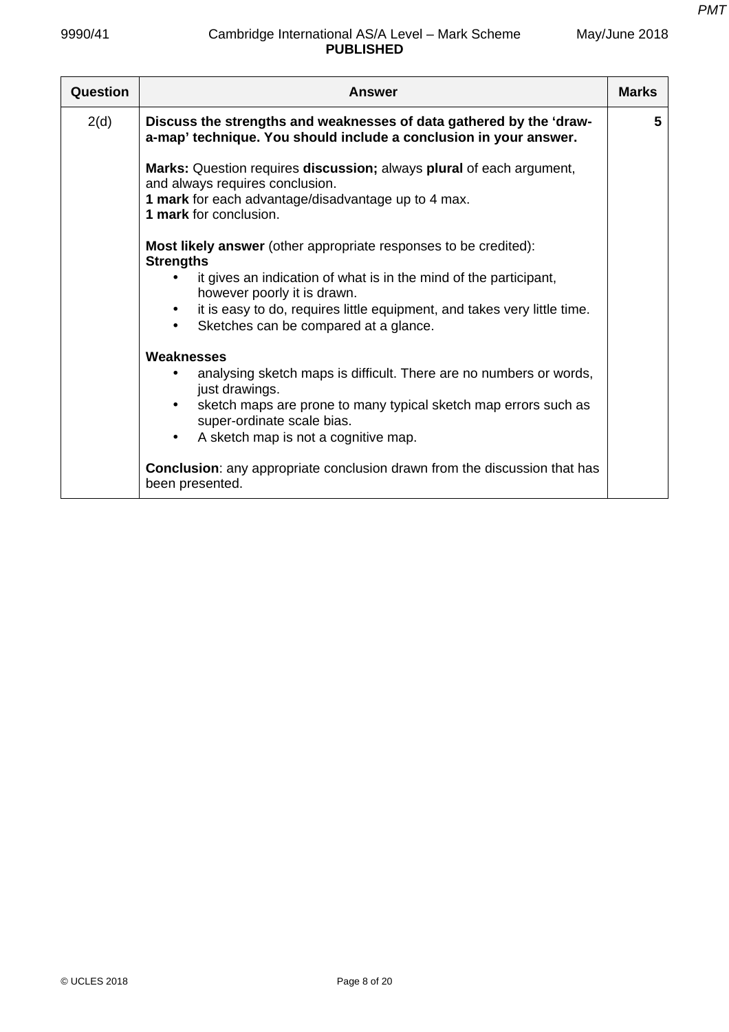| Question | <b>Answer</b>                                                                                                                            | <b>Marks</b> |
|----------|------------------------------------------------------------------------------------------------------------------------------------------|--------------|
| 2(d)     | Discuss the strengths and weaknesses of data gathered by the 'draw-<br>a-map' technique. You should include a conclusion in your answer. | 5            |
|          | Marks: Question requires discussion; always plural of each argument,<br>and always requires conclusion.                                  |              |
|          | 1 mark for each advantage/disadvantage up to 4 max.<br>1 mark for conclusion.                                                            |              |
|          | <b>Most likely answer</b> (other appropriate responses to be credited):<br><b>Strengths</b>                                              |              |
|          | it gives an indication of what is in the mind of the participant,<br>however poorly it is drawn.                                         |              |
|          | it is easy to do, requires little equipment, and takes very little time.<br>Sketches can be compared at a glance.<br>$\bullet$           |              |
|          | Weaknesses                                                                                                                               |              |
|          | analysing sketch maps is difficult. There are no numbers or words,<br>just drawings.                                                     |              |
|          | sketch maps are prone to many typical sketch map errors such as<br>super-ordinate scale bias.                                            |              |
|          | A sketch map is not a cognitive map.<br>$\bullet$                                                                                        |              |
|          | Conclusion: any appropriate conclusion drawn from the discussion that has<br>been presented.                                             |              |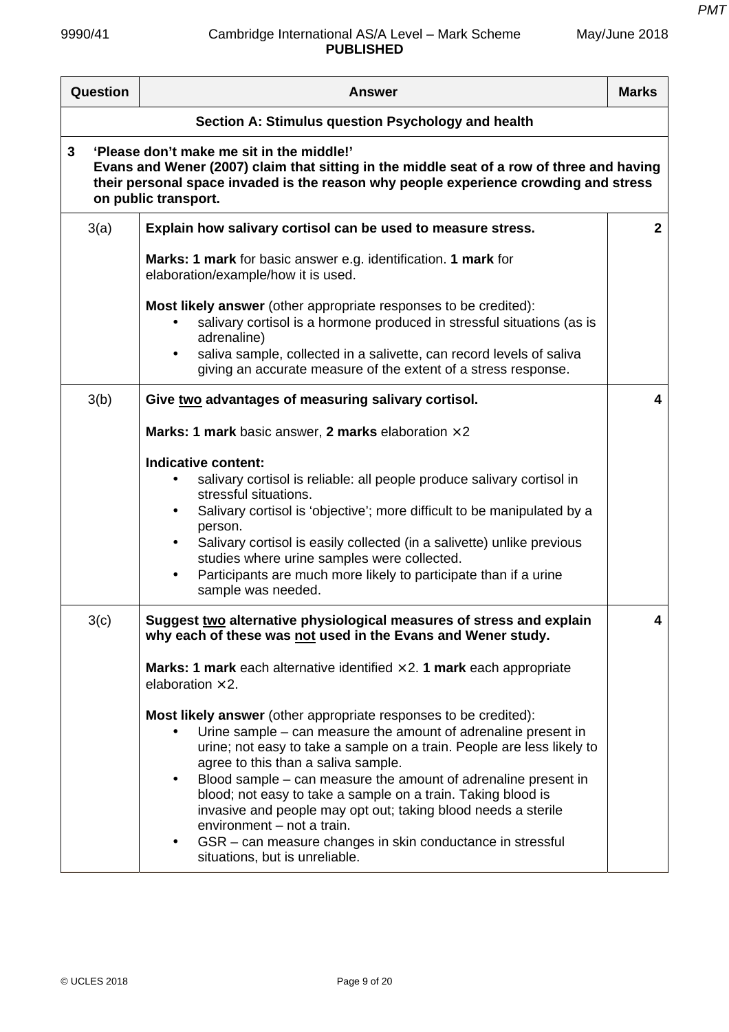| <b>Question</b> | <b>Answer</b>                                                                                                                                                                                                                                                                                                                                                                                                                                                                                                                                                                                     | <b>Marks</b> |  |  |
|-----------------|---------------------------------------------------------------------------------------------------------------------------------------------------------------------------------------------------------------------------------------------------------------------------------------------------------------------------------------------------------------------------------------------------------------------------------------------------------------------------------------------------------------------------------------------------------------------------------------------------|--------------|--|--|
|                 | Section A: Stimulus question Psychology and health                                                                                                                                                                                                                                                                                                                                                                                                                                                                                                                                                |              |  |  |
| 3               | 'Please don't make me sit in the middle!'<br>Evans and Wener (2007) claim that sitting in the middle seat of a row of three and having<br>their personal space invaded is the reason why people experience crowding and stress<br>on public transport.                                                                                                                                                                                                                                                                                                                                            |              |  |  |
| 3(a)            | Explain how salivary cortisol can be used to measure stress.                                                                                                                                                                                                                                                                                                                                                                                                                                                                                                                                      | $\mathbf{2}$ |  |  |
|                 | Marks: 1 mark for basic answer e.g. identification. 1 mark for<br>elaboration/example/how it is used.                                                                                                                                                                                                                                                                                                                                                                                                                                                                                             |              |  |  |
|                 | Most likely answer (other appropriate responses to be credited):<br>salivary cortisol is a hormone produced in stressful situations (as is<br>adrenaline)<br>saliva sample, collected in a salivette, can record levels of saliva                                                                                                                                                                                                                                                                                                                                                                 |              |  |  |
| 3(b)            | giving an accurate measure of the extent of a stress response.<br>Give two advantages of measuring salivary cortisol.                                                                                                                                                                                                                                                                                                                                                                                                                                                                             | 4            |  |  |
|                 | <b>Marks: 1 mark</b> basic answer, 2 marks elaboration $\times$ 2                                                                                                                                                                                                                                                                                                                                                                                                                                                                                                                                 |              |  |  |
|                 | Indicative content:<br>salivary cortisol is reliable: all people produce salivary cortisol in<br>stressful situations.<br>Salivary cortisol is 'objective'; more difficult to be manipulated by a<br>person.<br>Salivary cortisol is easily collected (in a salivette) unlike previous<br>studies where urine samples were collected.<br>Participants are much more likely to participate than if a urine<br>sample was needed.                                                                                                                                                                   |              |  |  |
| 3(c)            | Suggest two alternative physiological measures of stress and explain<br>why each of these was not used in the Evans and Wener study.                                                                                                                                                                                                                                                                                                                                                                                                                                                              | 4            |  |  |
|                 | <b>Marks: 1 mark</b> each alternative identified $\times$ 2. 1 mark each appropriate<br>elaboration $\times$ 2.                                                                                                                                                                                                                                                                                                                                                                                                                                                                                   |              |  |  |
|                 | Most likely answer (other appropriate responses to be credited):<br>Urine sample – can measure the amount of adrenaline present in<br>urine; not easy to take a sample on a train. People are less likely to<br>agree to this than a saliva sample.<br>Blood sample – can measure the amount of adrenaline present in<br>$\bullet$<br>blood; not easy to take a sample on a train. Taking blood is<br>invasive and people may opt out; taking blood needs a sterile<br>environment - not a train.<br>GSR – can measure changes in skin conductance in stressful<br>situations, but is unreliable. |              |  |  |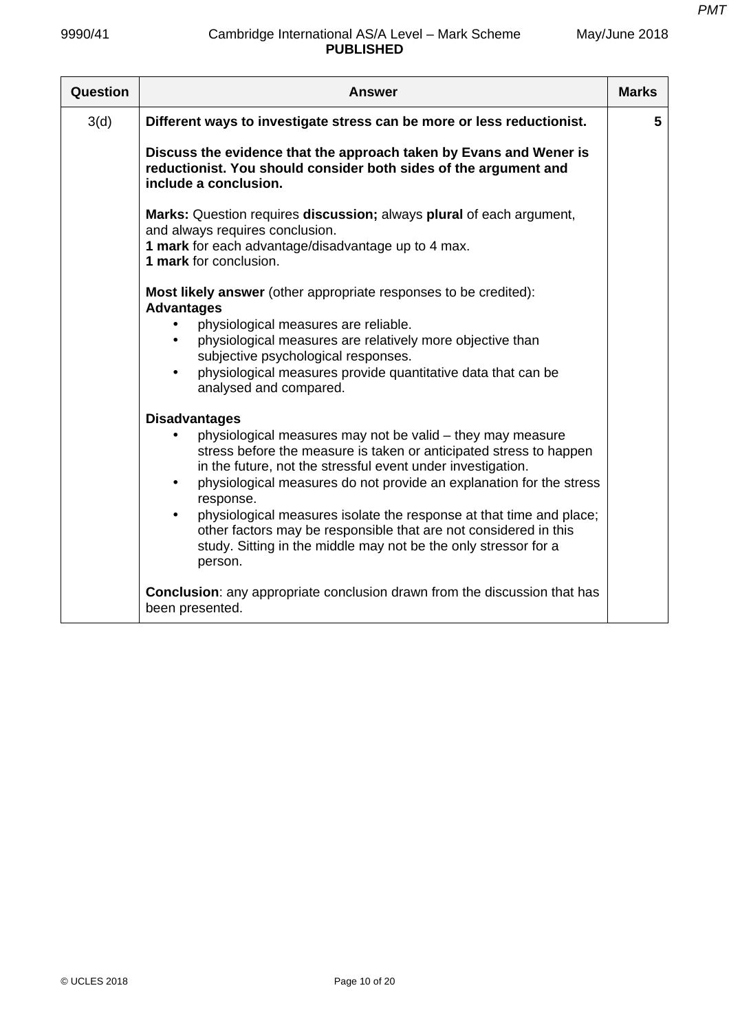| Question | Answer                                                                                                                                                                                                                                                                                                                                                                                                                                                                                                                                            | <b>Marks</b> |
|----------|---------------------------------------------------------------------------------------------------------------------------------------------------------------------------------------------------------------------------------------------------------------------------------------------------------------------------------------------------------------------------------------------------------------------------------------------------------------------------------------------------------------------------------------------------|--------------|
| 3(d)     | Different ways to investigate stress can be more or less reductionist.                                                                                                                                                                                                                                                                                                                                                                                                                                                                            | 5            |
|          | Discuss the evidence that the approach taken by Evans and Wener is<br>reductionist. You should consider both sides of the argument and<br>include a conclusion.                                                                                                                                                                                                                                                                                                                                                                                   |              |
|          | Marks: Question requires discussion; always plural of each argument,<br>and always requires conclusion.<br>1 mark for each advantage/disadvantage up to 4 max.<br>1 mark for conclusion.                                                                                                                                                                                                                                                                                                                                                          |              |
|          | <b>Most likely answer</b> (other appropriate responses to be credited):<br><b>Advantages</b><br>physiological measures are reliable.<br>physiological measures are relatively more objective than<br>subjective psychological responses.<br>physiological measures provide quantitative data that can be<br>analysed and compared.                                                                                                                                                                                                                |              |
|          | <b>Disadvantages</b><br>physiological measures may not be valid - they may measure<br>$\bullet$<br>stress before the measure is taken or anticipated stress to happen<br>in the future, not the stressful event under investigation.<br>physiological measures do not provide an explanation for the stress<br>response.<br>physiological measures isolate the response at that time and place;<br>other factors may be responsible that are not considered in this<br>study. Sitting in the middle may not be the only stressor for a<br>person. |              |
|          | <b>Conclusion:</b> any appropriate conclusion drawn from the discussion that has<br>been presented.                                                                                                                                                                                                                                                                                                                                                                                                                                               |              |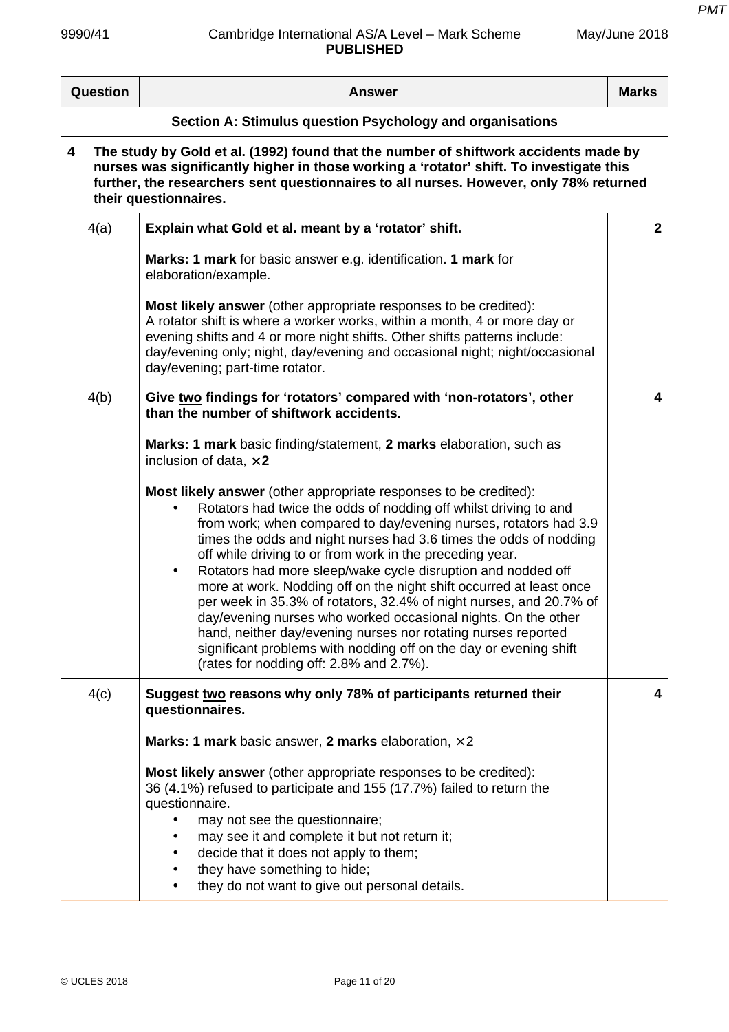| Question                                                                                                                                                                                                                                                                                                | <b>Answer</b>                                                                                                                                                                                                                                                                                                                                                                                                                                                                                                                                                                                                                                                                                                                                                                                                                | <b>Marks</b> |
|---------------------------------------------------------------------------------------------------------------------------------------------------------------------------------------------------------------------------------------------------------------------------------------------------------|------------------------------------------------------------------------------------------------------------------------------------------------------------------------------------------------------------------------------------------------------------------------------------------------------------------------------------------------------------------------------------------------------------------------------------------------------------------------------------------------------------------------------------------------------------------------------------------------------------------------------------------------------------------------------------------------------------------------------------------------------------------------------------------------------------------------------|--------------|
|                                                                                                                                                                                                                                                                                                         | Section A: Stimulus question Psychology and organisations                                                                                                                                                                                                                                                                                                                                                                                                                                                                                                                                                                                                                                                                                                                                                                    |              |
| The study by Gold et al. (1992) found that the number of shiftwork accidents made by<br>4<br>nurses was significantly higher in those working a 'rotator' shift. To investigate this<br>further, the researchers sent questionnaires to all nurses. However, only 78% returned<br>their questionnaires. |                                                                                                                                                                                                                                                                                                                                                                                                                                                                                                                                                                                                                                                                                                                                                                                                                              |              |
| 4(a)                                                                                                                                                                                                                                                                                                    | Explain what Gold et al. meant by a 'rotator' shift.                                                                                                                                                                                                                                                                                                                                                                                                                                                                                                                                                                                                                                                                                                                                                                         | $\mathbf{2}$ |
|                                                                                                                                                                                                                                                                                                         | Marks: 1 mark for basic answer e.g. identification. 1 mark for<br>elaboration/example.                                                                                                                                                                                                                                                                                                                                                                                                                                                                                                                                                                                                                                                                                                                                       |              |
|                                                                                                                                                                                                                                                                                                         | <b>Most likely answer</b> (other appropriate responses to be credited):<br>A rotator shift is where a worker works, within a month, 4 or more day or<br>evening shifts and 4 or more night shifts. Other shifts patterns include:<br>day/evening only; night, day/evening and occasional night; night/occasional<br>day/evening; part-time rotator.                                                                                                                                                                                                                                                                                                                                                                                                                                                                          |              |
| 4(b)                                                                                                                                                                                                                                                                                                    | Give two findings for 'rotators' compared with 'non-rotators', other<br>than the number of shiftwork accidents.                                                                                                                                                                                                                                                                                                                                                                                                                                                                                                                                                                                                                                                                                                              | 4            |
|                                                                                                                                                                                                                                                                                                         | Marks: 1 mark basic finding/statement, 2 marks elaboration, such as<br>inclusion of data, $\times$ 2                                                                                                                                                                                                                                                                                                                                                                                                                                                                                                                                                                                                                                                                                                                         |              |
|                                                                                                                                                                                                                                                                                                         | <b>Most likely answer</b> (other appropriate responses to be credited):<br>Rotators had twice the odds of nodding off whilst driving to and<br>from work; when compared to day/evening nurses, rotators had 3.9<br>times the odds and night nurses had 3.6 times the odds of nodding<br>off while driving to or from work in the preceding year.<br>Rotators had more sleep/wake cycle disruption and nodded off<br>$\bullet$<br>more at work. Nodding off on the night shift occurred at least once<br>per week in 35.3% of rotators, 32.4% of night nurses, and 20.7% of<br>day/evening nurses who worked occasional nights. On the other<br>hand, neither day/evening nurses nor rotating nurses reported<br>significant problems with nodding off on the day or evening shift<br>(rates for nodding off: 2.8% and 2.7%). |              |
| 4(c)                                                                                                                                                                                                                                                                                                    | Suggest two reasons why only 78% of participants returned their<br>questionnaires.                                                                                                                                                                                                                                                                                                                                                                                                                                                                                                                                                                                                                                                                                                                                           | 4            |
|                                                                                                                                                                                                                                                                                                         | Marks: 1 mark basic answer, 2 marks elaboration, $\times$ 2                                                                                                                                                                                                                                                                                                                                                                                                                                                                                                                                                                                                                                                                                                                                                                  |              |
|                                                                                                                                                                                                                                                                                                         | Most likely answer (other appropriate responses to be credited):<br>36 (4.1%) refused to participate and 155 (17.7%) failed to return the<br>questionnaire.<br>may not see the questionnaire;<br>may see it and complete it but not return it;<br>decide that it does not apply to them;<br>they have something to hide;<br>they do not want to give out personal details.                                                                                                                                                                                                                                                                                                                                                                                                                                                   |              |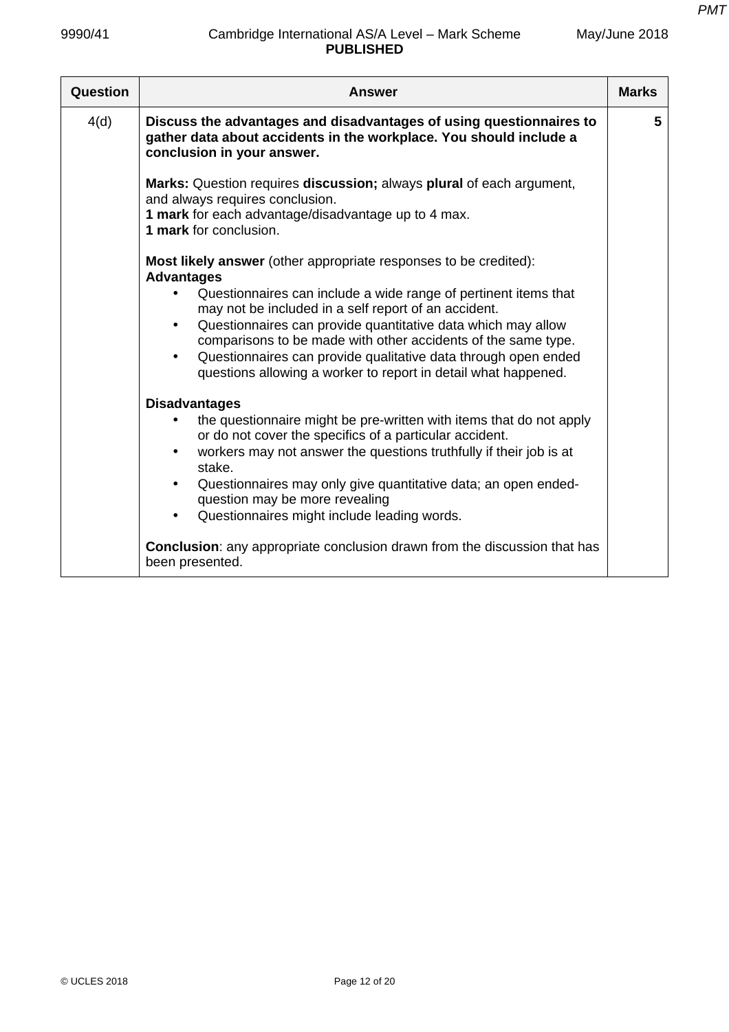| 9990/41  | Cambridge International AS/A Level - Mark Scheme<br><b>PUBLISHED</b>                                                                                                                                                                                                                                                                                                                                                                                                                                                                | May/June 2018 |
|----------|-------------------------------------------------------------------------------------------------------------------------------------------------------------------------------------------------------------------------------------------------------------------------------------------------------------------------------------------------------------------------------------------------------------------------------------------------------------------------------------------------------------------------------------|---------------|
| Question | <b>Answer</b>                                                                                                                                                                                                                                                                                                                                                                                                                                                                                                                       | <b>Marks</b>  |
| 4(d)     | Discuss the advantages and disadvantages of using questionnaires to<br>gather data about accidents in the workplace. You should include a<br>conclusion in your answer.                                                                                                                                                                                                                                                                                                                                                             | 5             |
|          | Marks: Question requires discussion; always plural of each argument,<br>and always requires conclusion.<br>1 mark for each advantage/disadvantage up to 4 max.<br>1 mark for conclusion.                                                                                                                                                                                                                                                                                                                                            |               |
|          | <b>Most likely answer</b> (other appropriate responses to be credited):<br><b>Advantages</b><br>Questionnaires can include a wide range of pertinent items that<br>$\bullet$<br>may not be included in a self report of an accident.<br>Questionnaires can provide quantitative data which may allow<br>$\bullet$<br>comparisons to be made with other accidents of the same type.<br>Questionnaires can provide qualitative data through open ended<br>$\bullet$<br>questions allowing a worker to report in detail what happened. |               |
|          | <b>Disadvantages</b><br>the questionnaire might be pre-written with items that do not apply<br>or do not cover the specifics of a particular accident.<br>workers may not answer the questions truthfully if their job is at<br>stake.<br>Questionnaires may only give quantitative data; an open ended-<br>$\bullet$<br>question may be more revealing<br>Questionnaires might include leading words.<br>$\bullet$                                                                                                                 |               |
|          | <b>Conclusion:</b> any appropriate conclusion drawn from the discussion that has<br>been presented.                                                                                                                                                                                                                                                                                                                                                                                                                                 |               |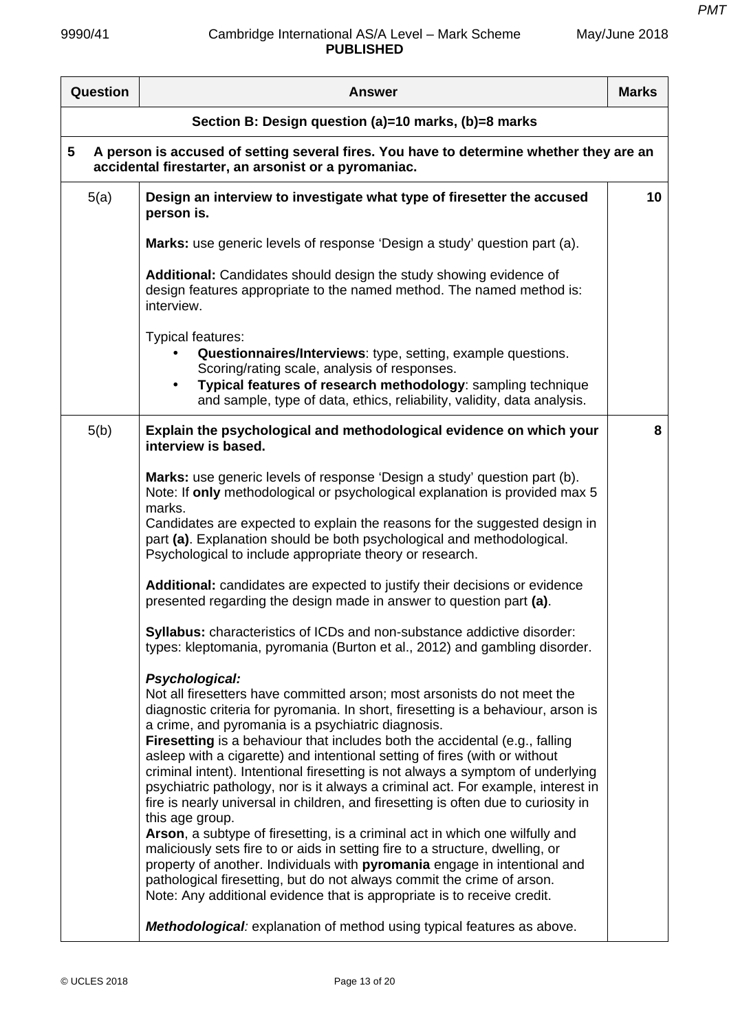*PMT*

| May/June 2018 |  |
|---------------|--|
|---------------|--|

| Question                                             | <b>Answer</b>                                                                                                                                                                                                                                                                                                                                                                                                                                                                                                                                                                                                                                                                                                                                                                                                                                                                                                                           | <b>Marks</b> |
|------------------------------------------------------|-----------------------------------------------------------------------------------------------------------------------------------------------------------------------------------------------------------------------------------------------------------------------------------------------------------------------------------------------------------------------------------------------------------------------------------------------------------------------------------------------------------------------------------------------------------------------------------------------------------------------------------------------------------------------------------------------------------------------------------------------------------------------------------------------------------------------------------------------------------------------------------------------------------------------------------------|--------------|
| Section B: Design question (a)=10 marks, (b)=8 marks |                                                                                                                                                                                                                                                                                                                                                                                                                                                                                                                                                                                                                                                                                                                                                                                                                                                                                                                                         |              |
| 5                                                    | A person is accused of setting several fires. You have to determine whether they are an<br>accidental firestarter, an arsonist or a pyromaniac.                                                                                                                                                                                                                                                                                                                                                                                                                                                                                                                                                                                                                                                                                                                                                                                         |              |
| 5(a)                                                 | Design an interview to investigate what type of firesetter the accused<br>person is.                                                                                                                                                                                                                                                                                                                                                                                                                                                                                                                                                                                                                                                                                                                                                                                                                                                    | 10           |
|                                                      | Marks: use generic levels of response 'Design a study' question part (a).                                                                                                                                                                                                                                                                                                                                                                                                                                                                                                                                                                                                                                                                                                                                                                                                                                                               |              |
|                                                      | Additional: Candidates should design the study showing evidence of<br>design features appropriate to the named method. The named method is:<br>interview.                                                                                                                                                                                                                                                                                                                                                                                                                                                                                                                                                                                                                                                                                                                                                                               |              |
|                                                      | Typical features:<br>Questionnaires/Interviews: type, setting, example questions.<br>Scoring/rating scale, analysis of responses.<br>Typical features of research methodology: sampling technique<br>$\bullet$<br>and sample, type of data, ethics, reliability, validity, data analysis.                                                                                                                                                                                                                                                                                                                                                                                                                                                                                                                                                                                                                                               |              |
| 5(b)                                                 | Explain the psychological and methodological evidence on which your<br>interview is based.                                                                                                                                                                                                                                                                                                                                                                                                                                                                                                                                                                                                                                                                                                                                                                                                                                              | 8            |
|                                                      | Marks: use generic levels of response 'Design a study' question part (b).<br>Note: If only methodological or psychological explanation is provided max 5<br>marks.<br>Candidates are expected to explain the reasons for the suggested design in                                                                                                                                                                                                                                                                                                                                                                                                                                                                                                                                                                                                                                                                                        |              |
|                                                      | part (a). Explanation should be both psychological and methodological.<br>Psychological to include appropriate theory or research.                                                                                                                                                                                                                                                                                                                                                                                                                                                                                                                                                                                                                                                                                                                                                                                                      |              |
|                                                      | Additional: candidates are expected to justify their decisions or evidence<br>presented regarding the design made in answer to question part (a).                                                                                                                                                                                                                                                                                                                                                                                                                                                                                                                                                                                                                                                                                                                                                                                       |              |
|                                                      | Syllabus: characteristics of ICDs and non-substance addictive disorder:<br>types: kleptomania, pyromania (Burton et al., 2012) and gambling disorder.                                                                                                                                                                                                                                                                                                                                                                                                                                                                                                                                                                                                                                                                                                                                                                                   |              |
|                                                      | Psychological:<br>Not all firesetters have committed arson; most arsonists do not meet the<br>diagnostic criteria for pyromania. In short, firesetting is a behaviour, arson is<br>a crime, and pyromania is a psychiatric diagnosis.<br><b>Firesetting</b> is a behaviour that includes both the accidental (e.g., falling<br>asleep with a cigarette) and intentional setting of fires (with or without<br>criminal intent). Intentional firesetting is not always a symptom of underlying<br>psychiatric pathology, nor is it always a criminal act. For example, interest in<br>fire is nearly universal in children, and firesetting is often due to curiosity in<br>this age group.<br>Arson, a subtype of firesetting, is a criminal act in which one wilfully and<br>maliciously sets fire to or aids in setting fire to a structure, dwelling, or<br>property of another. Individuals with pyromania engage in intentional and |              |
|                                                      | pathological firesetting, but do not always commit the crime of arson.<br>Note: Any additional evidence that is appropriate is to receive credit.                                                                                                                                                                                                                                                                                                                                                                                                                                                                                                                                                                                                                                                                                                                                                                                       |              |
|                                                      | Methodological: explanation of method using typical features as above.                                                                                                                                                                                                                                                                                                                                                                                                                                                                                                                                                                                                                                                                                                                                                                                                                                                                  |              |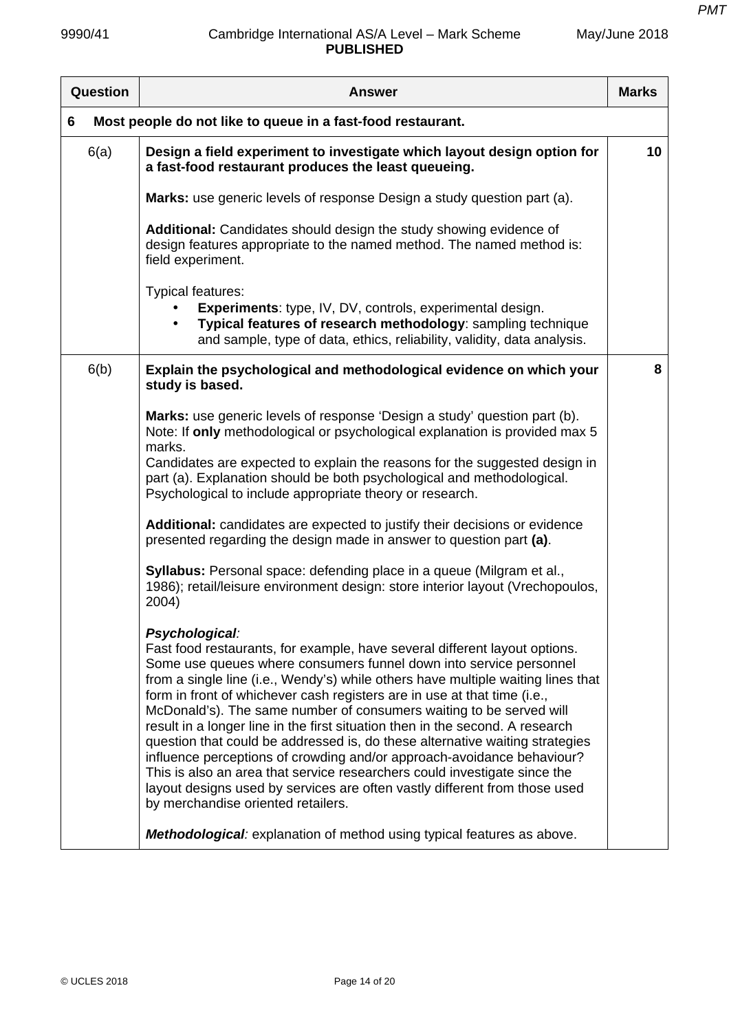| Question                                                         | <b>Answer</b>                                                                                                                                                                                                                                                                                                                                                                                                                                                                                                                                                                                                                                                                                                                                                                                                                                         | <b>Marks</b> |
|------------------------------------------------------------------|-------------------------------------------------------------------------------------------------------------------------------------------------------------------------------------------------------------------------------------------------------------------------------------------------------------------------------------------------------------------------------------------------------------------------------------------------------------------------------------------------------------------------------------------------------------------------------------------------------------------------------------------------------------------------------------------------------------------------------------------------------------------------------------------------------------------------------------------------------|--------------|
| Most people do not like to queue in a fast-food restaurant.<br>6 |                                                                                                                                                                                                                                                                                                                                                                                                                                                                                                                                                                                                                                                                                                                                                                                                                                                       |              |
| 6(a)                                                             | Design a field experiment to investigate which layout design option for<br>a fast-food restaurant produces the least queueing.                                                                                                                                                                                                                                                                                                                                                                                                                                                                                                                                                                                                                                                                                                                        | 10           |
|                                                                  | Marks: use generic levels of response Design a study question part (a).                                                                                                                                                                                                                                                                                                                                                                                                                                                                                                                                                                                                                                                                                                                                                                               |              |
|                                                                  | Additional: Candidates should design the study showing evidence of<br>design features appropriate to the named method. The named method is:<br>field experiment.                                                                                                                                                                                                                                                                                                                                                                                                                                                                                                                                                                                                                                                                                      |              |
|                                                                  | Typical features:<br><b>Experiments:</b> type, IV, DV, controls, experimental design.<br>Typical features of research methodology: sampling technique<br>and sample, type of data, ethics, reliability, validity, data analysis.                                                                                                                                                                                                                                                                                                                                                                                                                                                                                                                                                                                                                      |              |
| 6(b)                                                             | Explain the psychological and methodological evidence on which your<br>study is based.                                                                                                                                                                                                                                                                                                                                                                                                                                                                                                                                                                                                                                                                                                                                                                | 8            |
|                                                                  | Marks: use generic levels of response 'Design a study' question part (b).<br>Note: If only methodological or psychological explanation is provided max 5<br>marks.<br>Candidates are expected to explain the reasons for the suggested design in<br>part (a). Explanation should be both psychological and methodological.<br>Psychological to include appropriate theory or research.                                                                                                                                                                                                                                                                                                                                                                                                                                                                |              |
|                                                                  | Additional: candidates are expected to justify their decisions or evidence<br>presented regarding the design made in answer to question part (a).                                                                                                                                                                                                                                                                                                                                                                                                                                                                                                                                                                                                                                                                                                     |              |
|                                                                  | Syllabus: Personal space: defending place in a queue (Milgram et al.,<br>1986); retail/leisure environment design: store interior layout (Vrechopoulos,<br>2004)                                                                                                                                                                                                                                                                                                                                                                                                                                                                                                                                                                                                                                                                                      |              |
|                                                                  | Psychological:<br>Fast food restaurants, for example, have several different layout options.<br>Some use queues where consumers funnel down into service personnel<br>from a single line (i.e., Wendy's) while others have multiple waiting lines that<br>form in front of whichever cash registers are in use at that time (i.e.,<br>McDonald's). The same number of consumers waiting to be served will<br>result in a longer line in the first situation then in the second. A research<br>question that could be addressed is, do these alternative waiting strategies<br>influence perceptions of crowding and/or approach-avoidance behaviour?<br>This is also an area that service researchers could investigate since the<br>layout designs used by services are often vastly different from those used<br>by merchandise oriented retailers. |              |
|                                                                  | Methodological: explanation of method using typical features as above.                                                                                                                                                                                                                                                                                                                                                                                                                                                                                                                                                                                                                                                                                                                                                                                |              |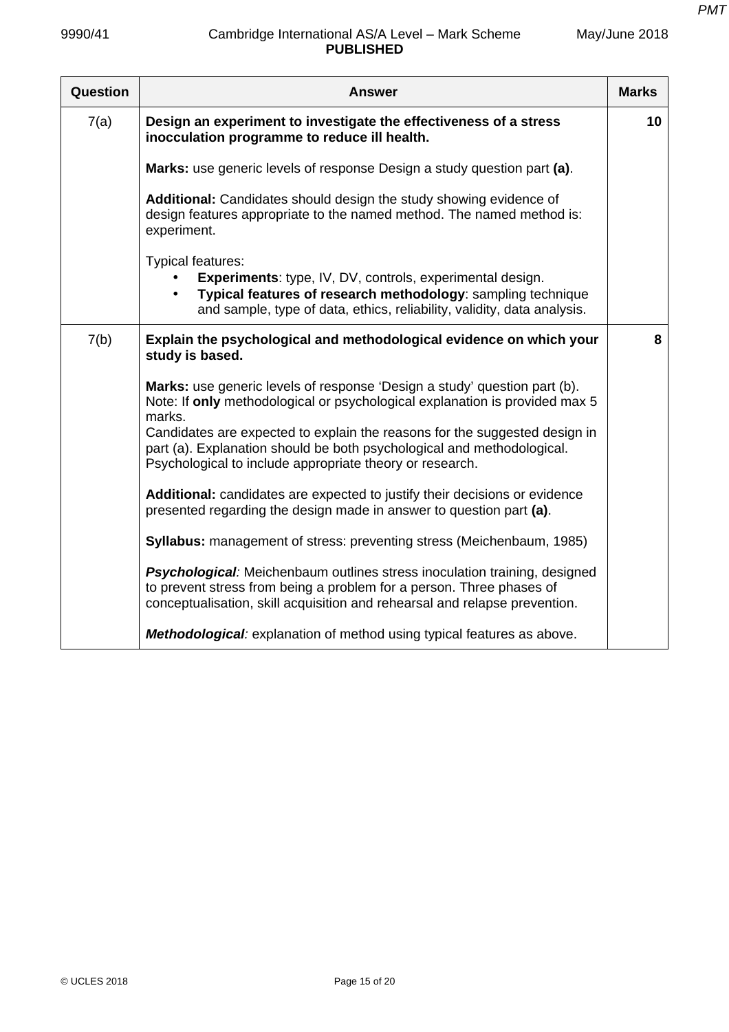May/June 2018

| Question | <b>Answer</b>                                                                                                                                                                                                                   | <b>Marks</b> |
|----------|---------------------------------------------------------------------------------------------------------------------------------------------------------------------------------------------------------------------------------|--------------|
| 7(a)     | Design an experiment to investigate the effectiveness of a stress<br>inocculation programme to reduce ill health.                                                                                                               | 10           |
|          | Marks: use generic levels of response Design a study question part (a).                                                                                                                                                         |              |
|          | Additional: Candidates should design the study showing evidence of<br>design features appropriate to the named method. The named method is:<br>experiment.                                                                      |              |
|          | Typical features:<br>Experiments: type, IV, DV, controls, experimental design.<br>Typical features of research methodology: sampling technique<br>and sample, type of data, ethics, reliability, validity, data analysis.       |              |
| 7(b)     | Explain the psychological and methodological evidence on which your<br>study is based.                                                                                                                                          | 8            |
|          | Marks: use generic levels of response 'Design a study' question part (b).<br>Note: If only methodological or psychological explanation is provided max 5<br>marks.                                                              |              |
|          | Candidates are expected to explain the reasons for the suggested design in<br>part (a). Explanation should be both psychological and methodological.<br>Psychological to include appropriate theory or research.                |              |
|          | Additional: candidates are expected to justify their decisions or evidence<br>presented regarding the design made in answer to question part (a).                                                                               |              |
|          | <b>Syllabus:</b> management of stress: preventing stress (Meichenbaum, 1985)                                                                                                                                                    |              |
|          | Psychological: Meichenbaum outlines stress inoculation training, designed<br>to prevent stress from being a problem for a person. Three phases of<br>conceptualisation, skill acquisition and rehearsal and relapse prevention. |              |
|          | Methodological: explanation of method using typical features as above.                                                                                                                                                          |              |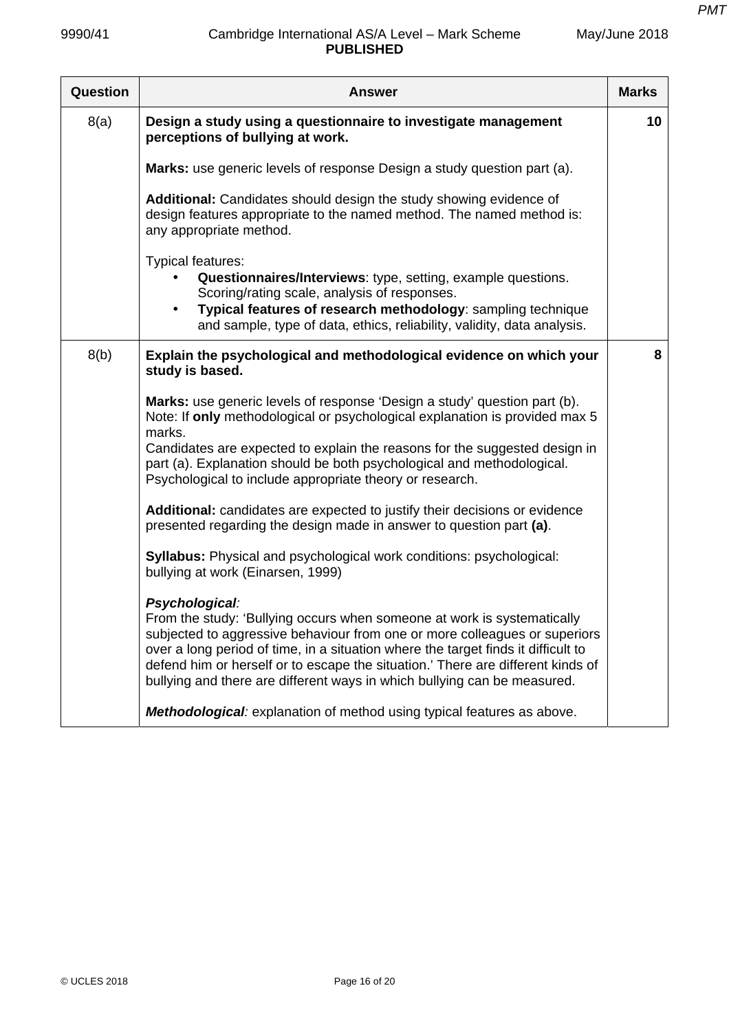May/June 2018

| <b>Question</b> | <b>Answer</b>                                                                                                                                                                                                                                                                                                                                                                                                               | <b>Marks</b> |
|-----------------|-----------------------------------------------------------------------------------------------------------------------------------------------------------------------------------------------------------------------------------------------------------------------------------------------------------------------------------------------------------------------------------------------------------------------------|--------------|
| 8(a)            | Design a study using a questionnaire to investigate management<br>perceptions of bullying at work.                                                                                                                                                                                                                                                                                                                          | 10           |
|                 | Marks: use generic levels of response Design a study question part (a).                                                                                                                                                                                                                                                                                                                                                     |              |
|                 | Additional: Candidates should design the study showing evidence of<br>design features appropriate to the named method. The named method is:<br>any appropriate method.                                                                                                                                                                                                                                                      |              |
|                 | Typical features:<br>Questionnaires/Interviews: type, setting, example questions.<br>Scoring/rating scale, analysis of responses.<br>Typical features of research methodology: sampling technique<br>$\bullet$<br>and sample, type of data, ethics, reliability, validity, data analysis.                                                                                                                                   |              |
| 8(b)            | Explain the psychological and methodological evidence on which your<br>study is based.                                                                                                                                                                                                                                                                                                                                      | 8            |
|                 | Marks: use generic levels of response 'Design a study' question part (b).<br>Note: If only methodological or psychological explanation is provided max 5<br>marks.<br>Candidates are expected to explain the reasons for the suggested design in<br>part (a). Explanation should be both psychological and methodological.<br>Psychological to include appropriate theory or research.                                      |              |
|                 | Additional: candidates are expected to justify their decisions or evidence<br>presented regarding the design made in answer to question part (a).                                                                                                                                                                                                                                                                           |              |
|                 | <b>Syllabus:</b> Physical and psychological work conditions: psychological:<br>bullying at work (Einarsen, 1999)                                                                                                                                                                                                                                                                                                            |              |
|                 | Psychological:<br>From the study: 'Bullying occurs when someone at work is systematically<br>subjected to aggressive behaviour from one or more colleagues or superiors<br>over a long period of time, in a situation where the target finds it difficult to<br>defend him or herself or to escape the situation.' There are different kinds of<br>bullying and there are different ways in which bullying can be measured. |              |
|                 | Methodological: explanation of method using typical features as above.                                                                                                                                                                                                                                                                                                                                                      |              |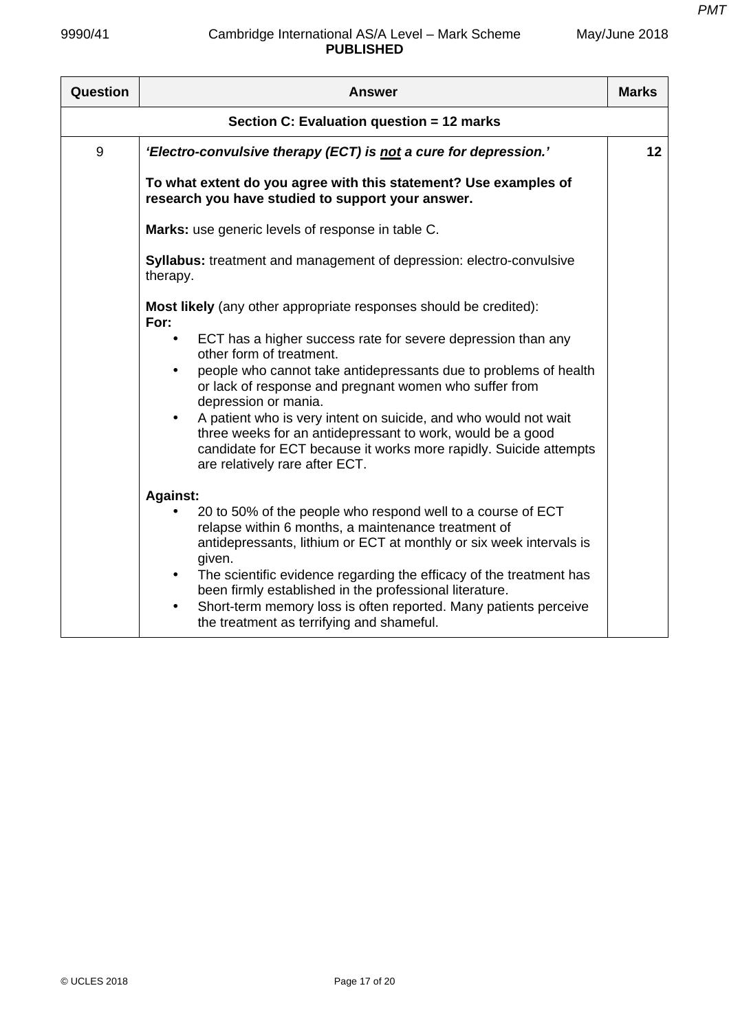| Question                                  | <b>Answer</b>                                                                                                                                                                                                                                                                                                                                                                                                                                                                                                                                                                    | <b>Marks</b> |
|-------------------------------------------|----------------------------------------------------------------------------------------------------------------------------------------------------------------------------------------------------------------------------------------------------------------------------------------------------------------------------------------------------------------------------------------------------------------------------------------------------------------------------------------------------------------------------------------------------------------------------------|--------------|
| Section C: Evaluation question = 12 marks |                                                                                                                                                                                                                                                                                                                                                                                                                                                                                                                                                                                  |              |
| 9                                         | 'Electro-convulsive therapy (ECT) is not a cure for depression.'                                                                                                                                                                                                                                                                                                                                                                                                                                                                                                                 | 12           |
|                                           | To what extent do you agree with this statement? Use examples of<br>research you have studied to support your answer.                                                                                                                                                                                                                                                                                                                                                                                                                                                            |              |
|                                           | Marks: use generic levels of response in table C.                                                                                                                                                                                                                                                                                                                                                                                                                                                                                                                                |              |
|                                           | <b>Syllabus:</b> treatment and management of depression: electro-convulsive<br>therapy.                                                                                                                                                                                                                                                                                                                                                                                                                                                                                          |              |
|                                           | Most likely (any other appropriate responses should be credited):<br>For:<br>ECT has a higher success rate for severe depression than any<br>other form of treatment.<br>people who cannot take antidepressants due to problems of health<br>or lack of response and pregnant women who suffer from<br>depression or mania.<br>A patient who is very intent on suicide, and who would not wait<br>$\bullet$<br>three weeks for an antidepressant to work, would be a good<br>candidate for ECT because it works more rapidly. Suicide attempts<br>are relatively rare after ECT. |              |
|                                           | <b>Against:</b><br>20 to 50% of the people who respond well to a course of ECT<br>relapse within 6 months, a maintenance treatment of<br>antidepressants, lithium or ECT at monthly or six week intervals is<br>given.<br>The scientific evidence regarding the efficacy of the treatment has<br>$\bullet$<br>been firmly established in the professional literature.<br>Short-term memory loss is often reported. Many patients perceive<br>$\bullet$<br>the treatment as terrifying and shameful.                                                                              |              |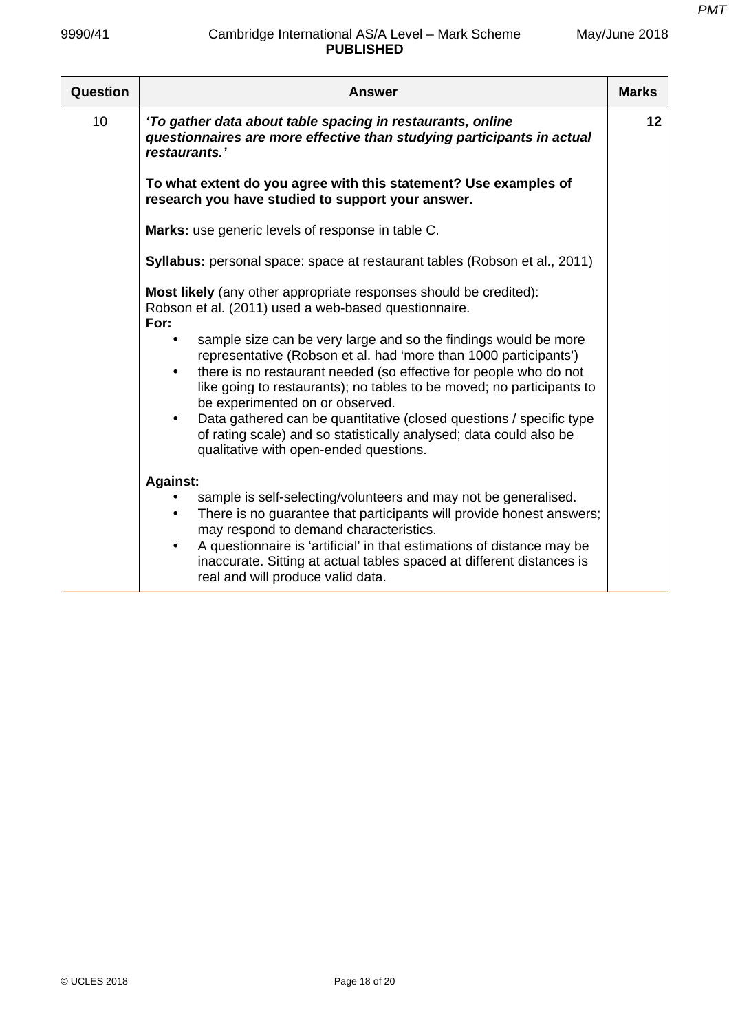| Question        | <b>Answer</b>                                                                                                                                                                                                                                                                                                                                                                          | <b>Marks</b> |
|-----------------|----------------------------------------------------------------------------------------------------------------------------------------------------------------------------------------------------------------------------------------------------------------------------------------------------------------------------------------------------------------------------------------|--------------|
| 10 <sup>1</sup> | 'To gather data about table spacing in restaurants, online<br>questionnaires are more effective than studying participants in actual<br>restaurants.'                                                                                                                                                                                                                                  | 12           |
|                 | To what extent do you agree with this statement? Use examples of<br>research you have studied to support your answer.                                                                                                                                                                                                                                                                  |              |
|                 | Marks: use generic levels of response in table C.                                                                                                                                                                                                                                                                                                                                      |              |
|                 | Syllabus: personal space: space at restaurant tables (Robson et al., 2011)                                                                                                                                                                                                                                                                                                             |              |
|                 | Most likely (any other appropriate responses should be credited):<br>Robson et al. (2011) used a web-based questionnaire.<br>For:<br>sample size can be very large and so the findings would be more<br>representative (Robson et al. had 'more than 1000 participants')<br>there is no restaurant needed (so effective for people who do not<br>$\bullet$                             |              |
|                 | like going to restaurants); no tables to be moved; no participants to<br>be experimented on or observed.<br>Data gathered can be quantitative (closed questions / specific type<br>of rating scale) and so statistically analysed; data could also be<br>qualitative with open-ended questions.                                                                                        |              |
|                 | <b>Against:</b>                                                                                                                                                                                                                                                                                                                                                                        |              |
|                 | sample is self-selecting/volunteers and may not be generalised.<br>There is no guarantee that participants will provide honest answers;<br>$\bullet$<br>may respond to demand characteristics.<br>A questionnaire is 'artificial' in that estimations of distance may be<br>inaccurate. Sitting at actual tables spaced at different distances is<br>real and will produce valid data. |              |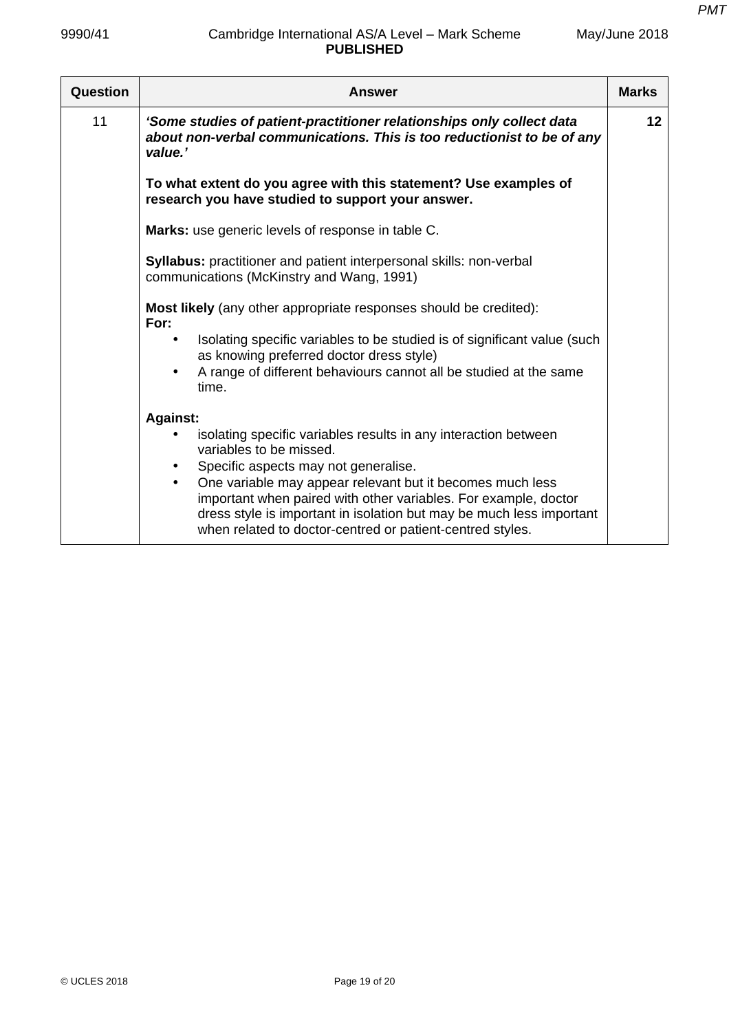| Question | <b>Answer</b>                                                                                                                                                                                                                                                                                                          | <b>Marks</b> |
|----------|------------------------------------------------------------------------------------------------------------------------------------------------------------------------------------------------------------------------------------------------------------------------------------------------------------------------|--------------|
| 11       | 'Some studies of patient-practitioner relationships only collect data<br>about non-verbal communications. This is too reductionist to be of any<br>value.'                                                                                                                                                             | 12           |
|          | To what extent do you agree with this statement? Use examples of<br>research you have studied to support your answer.                                                                                                                                                                                                  |              |
|          | Marks: use generic levels of response in table C.                                                                                                                                                                                                                                                                      |              |
|          | <b>Syllabus:</b> practitioner and patient interpersonal skills: non-verbal<br>communications (McKinstry and Wang, 1991)                                                                                                                                                                                                |              |
|          | <b>Most likely</b> (any other appropriate responses should be credited):<br>For:                                                                                                                                                                                                                                       |              |
|          | Isolating specific variables to be studied is of significant value (such<br>as knowing preferred doctor dress style)<br>A range of different behaviours cannot all be studied at the same<br>time.                                                                                                                     |              |
|          | <b>Against:</b>                                                                                                                                                                                                                                                                                                        |              |
|          | isolating specific variables results in any interaction between<br>variables to be missed.                                                                                                                                                                                                                             |              |
|          | Specific aspects may not generalise.<br>One variable may appear relevant but it becomes much less<br>$\bullet$<br>important when paired with other variables. For example, doctor<br>dress style is important in isolation but may be much less important<br>when related to doctor-centred or patient-centred styles. |              |